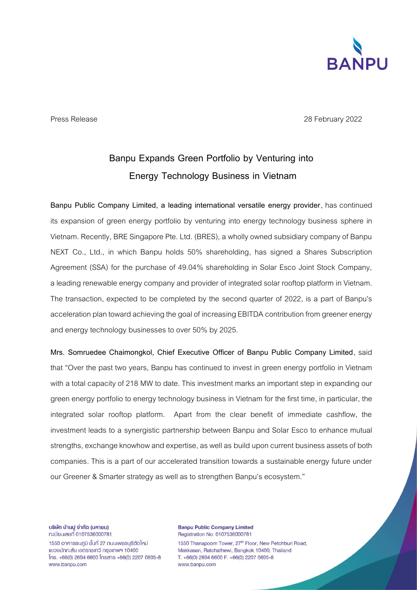

Press Release 2022

## **Banpu Expands Green Portfolio by Venturing into Energy Technology Business in Vietnam**

**Banpu Public Company Limited, a leading international versatile energy provider**, has continued its expansion of green energy portfolio by venturing into energy technology business sphere in Vietnam. Recently, BRE Singapore Pte. Ltd. (BRES), a wholly owned subsidiary company of Banpu NEXT Co., Ltd., in which Banpu holds 50% shareholding, has signed a Shares Subscription Agreement (SSA) for the purchase of 49.04% shareholding in Solar Esco Joint Stock Company, a leading renewable energy company and provider of integrated solar rooftop platform in Vietnam. The transaction, expected to be completed by the second quarter of 2022, is a part of Banpu's acceleration plantoward achieving the goal of increasing EBITDA contribution from greener energy and energy technology businesses to over 50% by 2025.

**Mrs. Somruedee Chaimongkol, Chief Executive Officer of Banpu Public Company Limited**, said that "Over the past two years, Banpu has continued to invest in green energy portfolio in Vietnam with a total capacity of 218 MW to date. This investment marks an important step in expanding our green energy portfolio to energy technology business in Vietnam for the first time, in particular, the integrated solar rooftop platform. Apart from the clear benefit of immediate cashflow, the investment leads to a synergistic partnership between Banpu and Solar Esco to enhance mutual strengths, exchange knowhow and expertise, as well as build upon current business assets of both companies. This is a part of our accelerated transition towards a sustainable energy future under our Greener & Smarter strategy as well as to strengthen Banpu's ecosystem."

บริษัท บ้านปู จำกัด (มหาชน) ทะเบียนเลขที่ 0107536000781

1550 อาคารธนภมิ ชั้นที่ 27 ถนนเพชรบุรีตัดใหม่ แขวงมักกะสัน เขตราชเทวี กรุงเทพฯ 10400  $[$ ns. +66(0) 2694 6600  $[$ nsans +66(0) 2207 0695-8 www.banpu.com

**Banpu Public Company Limited** Registration No. 0107536000781 1550 Thanapoom Tower, 27<sup>th</sup> Floor, New Petchburi Road, Makkasan, Ratchathewi, Bangkok 10400, Thailand T. +66(0) 2694 6600 F. +66(0) 2207 0695-8 www.banpu.com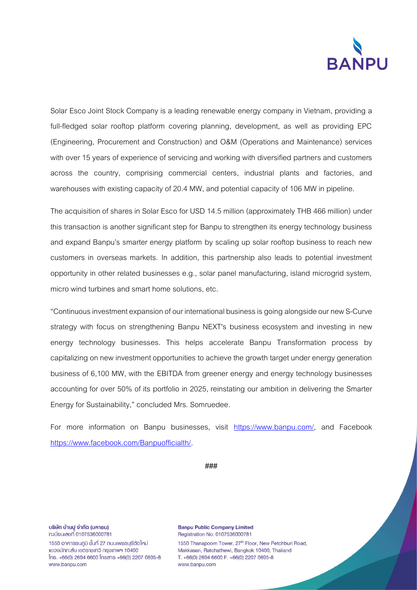

Solar Esco Joint Stock Company is a leading renewable energy company in Vietnam, providing a full-fledged solar rooftop platform covering planning, development, as well as providing EPC (Engineering, Procurement and Construction) and O&M (Operations and Maintenance) services with over 15 years of experience of servicing and working with diversified partners and customers across the country, comprising commercial centers, industrial plants and factories, and warehouses with existing capacity of 20.4 MW, and potential capacity of 106 MW in pipeline.

The acquisition of shares in Solar Esco for USD 14.5 million (approximately THB 466 million) under this transaction is another significant step for Banpu to strengthen its energy technology business and expand Banpu's smarter energy platform by scaling up solar rooftop business to reach new customers in overseas markets. In addition, this partnership also leads to potential investment opportunity in other related businesses e.g., solar panel manufacturing, island microgrid system, micro wind turbines and smart home solutions, etc.

"Continuous investment expansion of our international business is going alongside our new S-Curve strategy with focus on strengthening Banpu NEXT's business ecosystem and investing in new energy technology businesses. This helps accelerate Banpu Transformation process by capitalizing on new investment opportunities to achieve the growth target under energy generation business of 6,100 MW, with the EBITDA from greener energy and energy technology businesses accounting for over 50% of its portfolio in 2025, reinstating our ambition in delivering the Smarter Energy for Sustainability," concluded Mrs. Somruedee.

For more information on Banpu businesses, visit [https://www.banpu.com/,](https://www.banpu.com/) and Facebook [https://www.facebook.com/Banpuofficialth/.](https://www.facebook.com/Banpuofficialth/)

**###**

บริษัท บ้านปู จำกัด (มหาชน) n:เบียนเลขที่ 0107536000781

1550 อาคารธนกมิ ชั้นที่ 27 ถนนเพชรบุรีตัดใหม่ แขวงมักกะสัน เขตราชเทวี กรุงเทพฯ 10400  $[$ ns. +66(0) 2694 6600  $[$ nsans +66(0) 2207 0695-8 www.banpu.com

**Banpu Public Company Limited** Registration No. 0107536000781 1550 Thanapoom Tower, 27<sup>th</sup> Floor, New Petchburi Road, Makkasan, Ratchathewi, Bangkok 10400, Thailand T. +66(0) 2694 6600 F. +66(0) 2207 0695-8 www.banpu.com